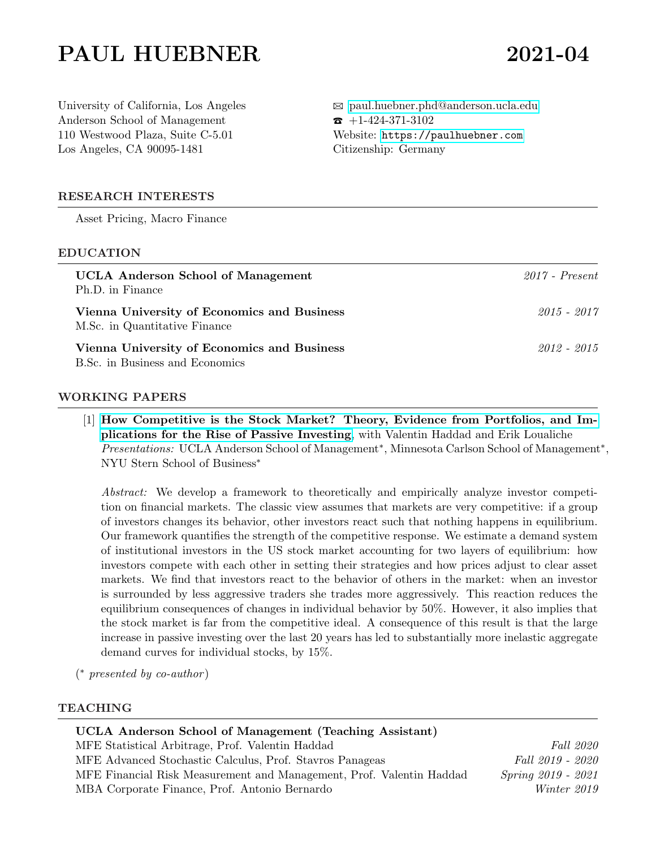# PAUL HUEBNER 2021-04

University of California, Los Angeles Anderson School of Management 110 Westwood Plaza, Suite C-5.01 Los Angeles, CA 90095-1481

B [paul.huebner.phd@anderson.ucla.edu](mailto:paul.huebner.phd@anderson.ucla.edu)  $\bullet$  +1-424-371-3102 Website: <https://paulhuebner.com> Citizenship: Germany

### RESEARCH INTERESTS

Asset Pricing, Macro Finance

#### EDUCATION

| <b>UCLA</b> Anderson School of Management<br>Ph.D. in Finance                  | $2017$ - Present |
|--------------------------------------------------------------------------------|------------------|
| Vienna University of Economics and Business<br>M.Sc. in Quantitative Finance   | 2015 - 2017      |
| Vienna University of Economics and Business<br>B.Sc. in Business and Economics | 2012 - 2015      |

#### WORKING PAPERS

[1] [How Competitive is the Stock Market? Theory, Evidence from Portfolios, and Im](https://papers.ssrn.com/sol3/papers.cfm?abstract_id=3821263)[plications for the Rise of Passive Investing](https://papers.ssrn.com/sol3/papers.cfm?abstract_id=3821263), with Valentin Haddad and Erik Loualiche Presentations: UCLA Anderson School of Management<sup>\*</sup>, Minnesota Carlson School of Management<sup>\*</sup>, NYU Stern School of Business<sup>∗</sup>

Abstract: We develop a framework to theoretically and empirically analyze investor competition on financial markets. The classic view assumes that markets are very competitive: if a group of investors changes its behavior, other investors react such that nothing happens in equilibrium. Our framework quantifies the strength of the competitive response. We estimate a demand system of institutional investors in the US stock market accounting for two layers of equilibrium: how investors compete with each other in setting their strategies and how prices adjust to clear asset markets. We find that investors react to the behavior of others in the market: when an investor is surrounded by less aggressive traders she trades more aggressively. This reaction reduces the equilibrium consequences of changes in individual behavior by 50%. However, it also implies that the stock market is far from the competitive ideal. A consequence of this result is that the large increase in passive investing over the last 20 years has led to substantially more inelastic aggregate demand curves for individual stocks, by 15%.

( <sup>∗</sup> presented by co-author )

#### TEACHING

| UCLA Anderson School of Management (Teaching Assistant)              |                           |
|----------------------------------------------------------------------|---------------------------|
| MFE Statistical Arbitrage, Prof. Valentin Haddad                     | Fall 2020                 |
| MFE Advanced Stochastic Calculus, Prof. Stavros Panageas             | Fall 2019 - 2020          |
| MFE Financial Risk Measurement and Management, Prof. Valentin Haddad | <i>Spring 2019 - 2021</i> |
| MBA Corporate Finance, Prof. Antonio Bernardo                        | Winter 2019               |